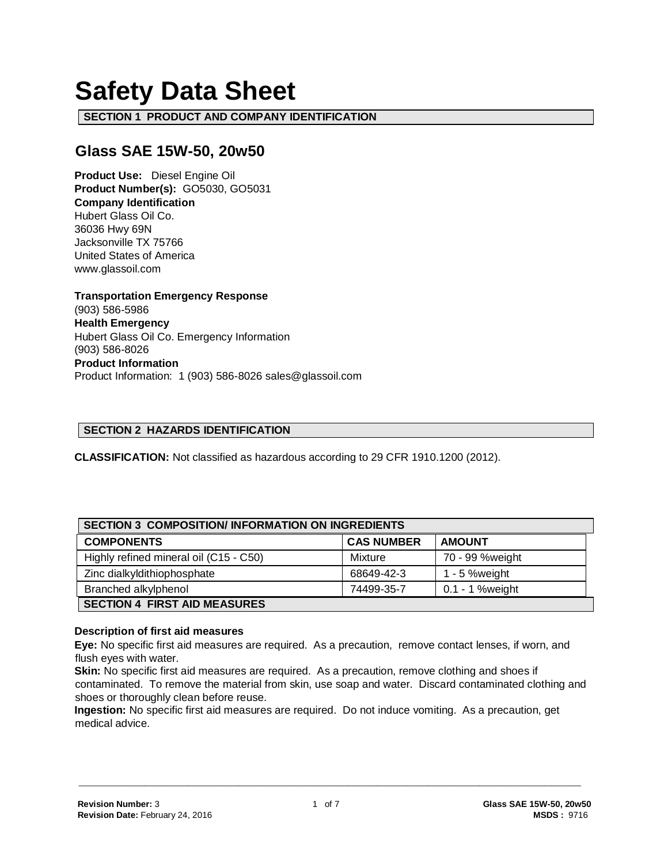# **Safety Data Sheet**

**SECTION 1 PRODUCT AND COMPANY IDENTIFICATION**

# **Glass SAE 15W-50, 20w50**

**Product Use:** Diesel Engine Oil **Product Number(s):** GO5030, GO5031 **Company Identification** Hubert Glass Oil Co. 36036 Hwy 69N Jacksonville TX 75766 United States of America www.glassoil.com

**Transportation Emergency Response** (903) 586-5986 **Health Emergency** Hubert Glass Oil Co. Emergency Information (903) 586-8026 **Product Information**  Product Information: 1 (903) 586-8026 sales@glassoil.com

#### **SECTION 2 HAZARDS IDENTIFICATION**

**CLASSIFICATION:** Not classified as hazardous according to 29 CFR 1910.1200 (2012).

| <b>SECTION 3 COMPOSITION/INFORMATION ON INGREDIENTS</b> |                   |                 |  |
|---------------------------------------------------------|-------------------|-----------------|--|
| <b>COMPONENTS</b>                                       | <b>CAS NUMBER</b> | <b>AMOUNT</b>   |  |
| Highly refined mineral oil (C15 - C50)                  | Mixture           | 70 - 99 %weight |  |
| Zinc dialkyldithiophosphate                             | 68649-42-3        | 1 - 5 % weight  |  |
| Branched alkylphenol                                    | 74499-35-7        | 0.1 - 1 %weight |  |
| <b>SECTION 4 FIRST AID MEASURES</b>                     |                   |                 |  |

#### **Description of first aid measures**

**Eye:** No specific first aid measures are required. As a precaution, remove contact lenses, if worn, and flush eyes with water.

**Skin:** No specific first aid measures are required. As a precaution, remove clothing and shoes if contaminated. To remove the material from skin, use soap and water. Discard contaminated clothing and shoes or thoroughly clean before reuse.

**Ingestion:** No specific first aid measures are required. Do not induce vomiting. As a precaution, get medical advice.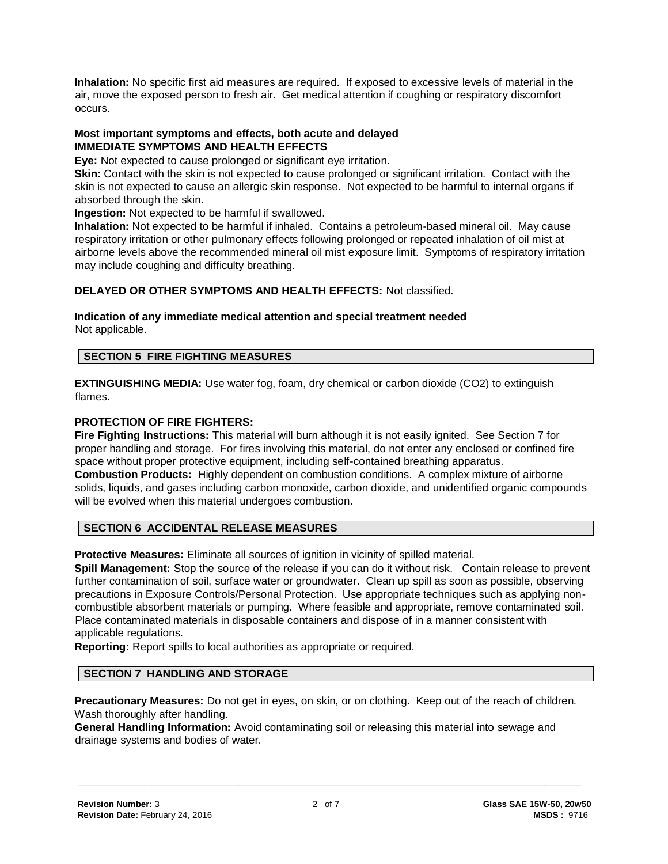**Inhalation:** No specific first aid measures are required. If exposed to excessive levels of material in the air, move the exposed person to fresh air. Get medical attention if coughing or respiratory discomfort occurs.

#### **Most important symptoms and effects, both acute and delayed IMMEDIATE SYMPTOMS AND HEALTH EFFECTS**

**Eye:** Not expected to cause prolonged or significant eye irritation.

**Skin:** Contact with the skin is not expected to cause prolonged or significant irritation. Contact with the skin is not expected to cause an allergic skin response. Not expected to be harmful to internal organs if absorbed through the skin.

**Ingestion:** Not expected to be harmful if swallowed.

**Inhalation:** Not expected to be harmful if inhaled. Contains a petroleum-based mineral oil. May cause respiratory irritation or other pulmonary effects following prolonged or repeated inhalation of oil mist at airborne levels above the recommended mineral oil mist exposure limit. Symptoms of respiratory irritation may include coughing and difficulty breathing.

# **DELAYED OR OTHER SYMPTOMS AND HEALTH EFFECTS:** Not classified.

#### **Indication of any immediate medical attention and special treatment needed**  Not applicable.

#### **SECTION 5 FIRE FIGHTING MEASURES**

**EXTINGUISHING MEDIA:** Use water fog, foam, dry chemical or carbon dioxide (CO2) to extinguish flames.

#### **PROTECTION OF FIRE FIGHTERS:**

**Fire Fighting Instructions:** This material will burn although it is not easily ignited. See Section 7 for proper handling and storage. For fires involving this material, do not enter any enclosed or confined fire space without proper protective equipment, including self-contained breathing apparatus. **Combustion Products:** Highly dependent on combustion conditions. A complex mixture of airborne solids, liquids, and gases including carbon monoxide, carbon dioxide, and unidentified organic compounds will be evolved when this material undergoes combustion.

# **SECTION 6 ACCIDENTAL RELEASE MEASURES**

**Protective Measures:** Eliminate all sources of ignition in vicinity of spilled material.

**Spill Management:** Stop the source of the release if you can do it without risk. Contain release to prevent further contamination of soil, surface water or groundwater. Clean up spill as soon as possible, observing precautions in Exposure Controls/Personal Protection. Use appropriate techniques such as applying noncombustible absorbent materials or pumping. Where feasible and appropriate, remove contaminated soil. Place contaminated materials in disposable containers and dispose of in a manner consistent with applicable regulations.

**Reporting:** Report spills to local authorities as appropriate or required.

#### **SECTION 7 HANDLING AND STORAGE**

**Precautionary Measures:** Do not get in eyes, on skin, or on clothing. Keep out of the reach of children. Wash thoroughly after handling.

**General Handling Information:** Avoid contaminating soil or releasing this material into sewage and drainage systems and bodies of water.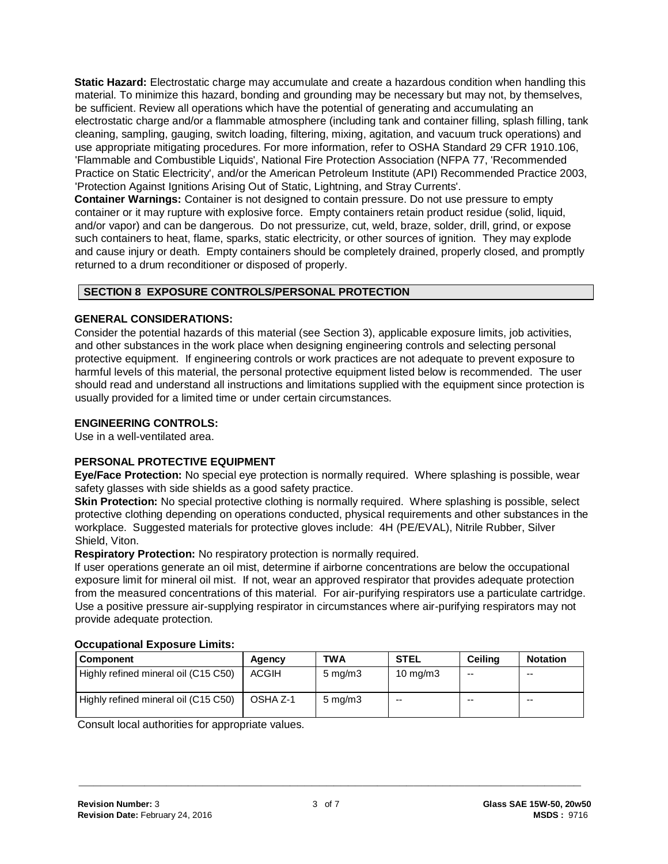**Static Hazard:** Electrostatic charge may accumulate and create a hazardous condition when handling this material. To minimize this hazard, bonding and grounding may be necessary but may not, by themselves, be sufficient. Review all operations which have the potential of generating and accumulating an electrostatic charge and/or a flammable atmosphere (including tank and container filling, splash filling, tank cleaning, sampling, gauging, switch loading, filtering, mixing, agitation, and vacuum truck operations) and use appropriate mitigating procedures. For more information, refer to OSHA Standard 29 CFR 1910.106, 'Flammable and Combustible Liquids', National Fire Protection Association (NFPA 77, 'Recommended Practice on Static Electricity', and/or the American Petroleum Institute (API) Recommended Practice 2003, 'Protection Against Ignitions Arising Out of Static, Lightning, and Stray Currents'.

**Container Warnings:** Container is not designed to contain pressure. Do not use pressure to empty container or it may rupture with explosive force. Empty containers retain product residue (solid, liquid, and/or vapor) and can be dangerous. Do not pressurize, cut, weld, braze, solder, drill, grind, or expose such containers to heat, flame, sparks, static electricity, or other sources of ignition. They may explode and cause injury or death. Empty containers should be completely drained, properly closed, and promptly returned to a drum reconditioner or disposed of properly.

# **SECTION 8 EXPOSURE CONTROLS/PERSONAL PROTECTION**

# **GENERAL CONSIDERATIONS:**

Consider the potential hazards of this material (see Section 3), applicable exposure limits, job activities, and other substances in the work place when designing engineering controls and selecting personal protective equipment. If engineering controls or work practices are not adequate to prevent exposure to harmful levels of this material, the personal protective equipment listed below is recommended. The user should read and understand all instructions and limitations supplied with the equipment since protection is usually provided for a limited time or under certain circumstances.

# **ENGINEERING CONTROLS:**

Use in a well-ventilated area.

# **PERSONAL PROTECTIVE EQUIPMENT**

**Eye/Face Protection:** No special eye protection is normally required. Where splashing is possible, wear safety glasses with side shields as a good safety practice.

**Skin Protection:** No special protective clothing is normally required. Where splashing is possible, select protective clothing depending on operations conducted, physical requirements and other substances in the workplace. Suggested materials for protective gloves include: 4H (PE/EVAL), Nitrile Rubber, Silver Shield, Viton.

**Respiratory Protection:** No respiratory protection is normally required.

If user operations generate an oil mist, determine if airborne concentrations are below the occupational exposure limit for mineral oil mist. If not, wear an approved respirator that provides adequate protection from the measured concentrations of this material. For air-purifying respirators use a particulate cartridge. Use a positive pressure air-supplying respirator in circumstances where air-purifying respirators may not provide adequate protection.

| OUUWWW.IVIIWI EADUUWI V EIIIIIWI     |          |                  |                   |         |                 |
|--------------------------------------|----------|------------------|-------------------|---------|-----------------|
| <b>Component</b>                     | Agency   | TWA              | <b>STEL</b>       | Ceilina | <b>Notation</b> |
| Highly refined mineral oil (C15 C50) | ACGIH    | $5 \text{ mg/m}$ | $10 \text{ mg/m}$ | $-$     | $- -$           |
| Highly refined mineral oil (C15 C50) | OSHA Z-1 | $5 \text{ mg/m}$ | $- -$             | $- -$   | $- -$           |

#### **Occupational Exposure Limits:**

Consult local authorities for appropriate values.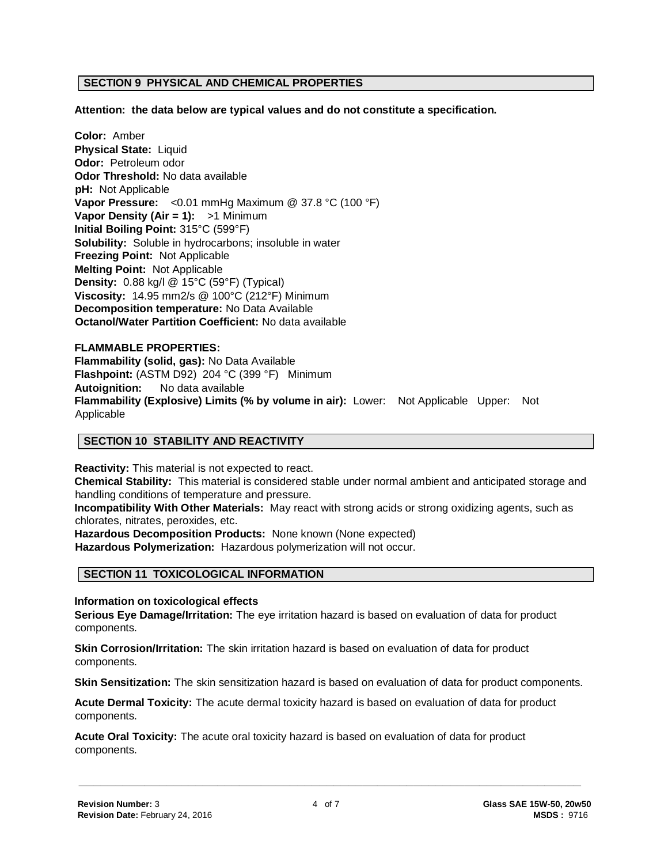#### **SECTION 9 PHYSICAL AND CHEMICAL PROPERTIES**

**Attention: the data below are typical values and do not constitute a specification.**

**Color:** Amber **Physical State:** Liquid **Odor:** Petroleum odor **Odor Threshold:** No data available **pH:** Not Applicable **Vapor Pressure:** <0.01 mmHg Maximum @ 37.8 °C (100 °F) **Vapor Density (Air = 1):** >1 Minimum **Initial Boiling Point:** 315°C (599°F) **Solubility:** Soluble in hydrocarbons; insoluble in water **Freezing Point:** Not Applicable **Melting Point:** Not Applicable **Density:** 0.88 kg/l @ 15°C (59°F) (Typical) **Viscosity:** 14.95 mm2/s @ 100°C (212°F) Minimum **Decomposition temperature:** No Data Available **Octanol/Water Partition Coefficient:** No data available

# **FLAMMABLE PROPERTIES: Flammability (solid, gas):** No Data Available **Flashpoint:** (ASTM D92) 204 °C (399 °F) Minimum **Autoignition:** No data available **Flammability (Explosive) Limits (% by volume in air):** Lower: Not Applicable Upper: Not Applicable

#### **SECTION 10 STABILITY AND REACTIVITY**

**Reactivity:** This material is not expected to react. **Chemical Stability:** This material is considered stable under normal ambient and anticipated storage and handling conditions of temperature and pressure.

**Incompatibility With Other Materials:** May react with strong acids or strong oxidizing agents, such as chlorates, nitrates, peroxides, etc.

**Hazardous Decomposition Products:** None known (None expected)

**Hazardous Polymerization:** Hazardous polymerization will not occur.

#### **SECTION 11 TOXICOLOGICAL INFORMATION**

**Information on toxicological effects**

**Serious Eye Damage/Irritation:** The eye irritation hazard is based on evaluation of data for product components.

**Skin Corrosion/Irritation:** The skin irritation hazard is based on evaluation of data for product components.

**Skin Sensitization:** The skin sensitization hazard is based on evaluation of data for product components.

**Acute Dermal Toxicity:** The acute dermal toxicity hazard is based on evaluation of data for product components.

**Acute Oral Toxicity:** The acute oral toxicity hazard is based on evaluation of data for product components.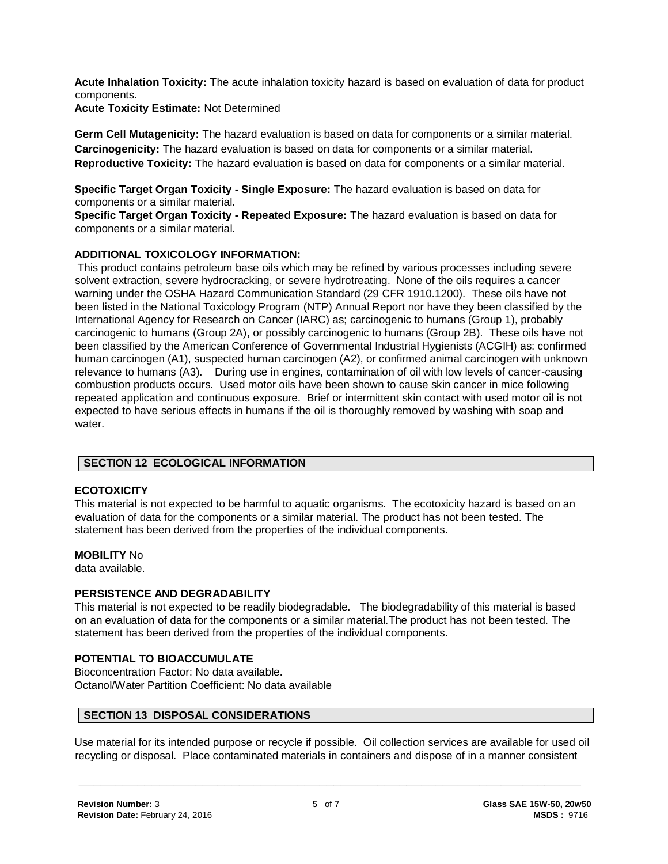**Acute Inhalation Toxicity:** The acute inhalation toxicity hazard is based on evaluation of data for product components.

**Acute Toxicity Estimate:** Not Determined

**Germ Cell Mutagenicity:** The hazard evaluation is based on data for components or a similar material. **Carcinogenicity:** The hazard evaluation is based on data for components or a similar material. **Reproductive Toxicity:** The hazard evaluation is based on data for components or a similar material.

**Specific Target Organ Toxicity - Single Exposure:** The hazard evaluation is based on data for components or a similar material.

**Specific Target Organ Toxicity - Repeated Exposure:** The hazard evaluation is based on data for components or a similar material.

# **ADDITIONAL TOXICOLOGY INFORMATION:**

This product contains petroleum base oils which may be refined by various processes including severe solvent extraction, severe hydrocracking, or severe hydrotreating. None of the oils requires a cancer warning under the OSHA Hazard Communication Standard (29 CFR 1910.1200). These oils have not been listed in the National Toxicology Program (NTP) Annual Report nor have they been classified by the International Agency for Research on Cancer (IARC) as; carcinogenic to humans (Group 1), probably carcinogenic to humans (Group 2A), or possibly carcinogenic to humans (Group 2B). These oils have not been classified by the American Conference of Governmental Industrial Hygienists (ACGIH) as: confirmed human carcinogen (A1), suspected human carcinogen (A2), or confirmed animal carcinogen with unknown relevance to humans (A3). During use in engines, contamination of oil with low levels of cancer-causing combustion products occurs. Used motor oils have been shown to cause skin cancer in mice following repeated application and continuous exposure. Brief or intermittent skin contact with used motor oil is not expected to have serious effects in humans if the oil is thoroughly removed by washing with soap and water.

# **SECTION 12 ECOLOGICAL INFORMATION**

# **ECOTOXICITY**

This material is not expected to be harmful to aquatic organisms. The ecotoxicity hazard is based on an evaluation of data for the components or a similar material. The product has not been tested. The statement has been derived from the properties of the individual components.

# **MOBILITY** No

data available.

# **PERSISTENCE AND DEGRADABILITY**

This material is not expected to be readily biodegradable. The biodegradability of this material is based on an evaluation of data for the components or a similar material.The product has not been tested. The statement has been derived from the properties of the individual components.

# **POTENTIAL TO BIOACCUMULATE**

Bioconcentration Factor: No data available. Octanol/Water Partition Coefficient: No data available

# **SECTION 13 DISPOSAL CONSIDERATIONS**

Use material for its intended purpose or recycle if possible. Oil collection services are available for used oil recycling or disposal. Place contaminated materials in containers and dispose of in a manner consistent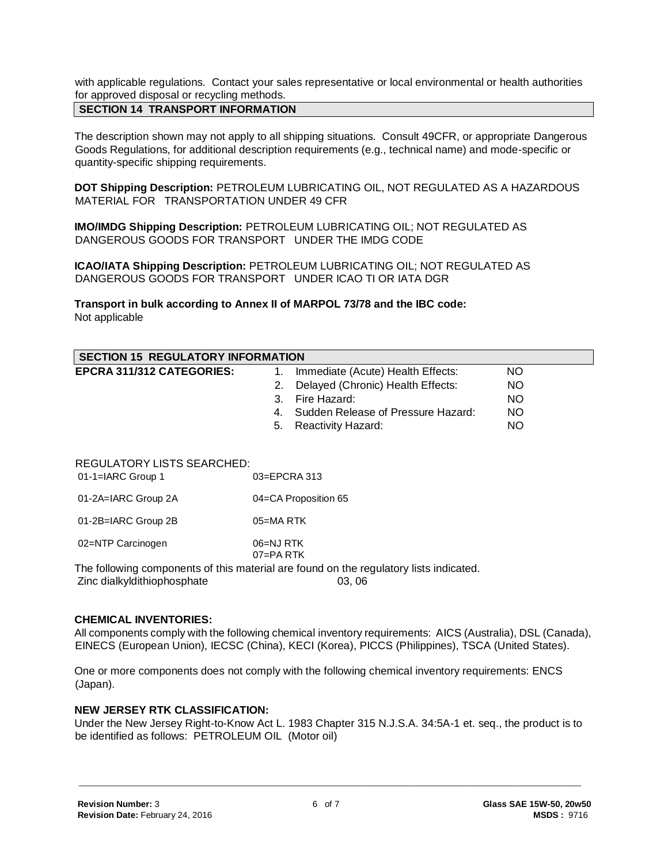with applicable regulations. Contact your sales representative or local environmental or health authorities for approved disposal or recycling methods.

# **SECTION 14 TRANSPORT INFORMATION**

The description shown may not apply to all shipping situations. Consult 49CFR, or appropriate Dangerous Goods Regulations, for additional description requirements (e.g., technical name) and mode-specific or quantity-specific shipping requirements.

**DOT Shipping Description:** PETROLEUM LUBRICATING OIL, NOT REGULATED AS A HAZARDOUS MATERIAL FOR TRANSPORTATION UNDER 49 CFR

**IMO/IMDG Shipping Description:** PETROLEUM LUBRICATING OIL; NOT REGULATED AS DANGEROUS GOODS FOR TRANSPORT UNDER THE IMDG CODE

**ICAO/IATA Shipping Description:** PETROLEUM LUBRICATING OIL; NOT REGULATED AS DANGEROUS GOODS FOR TRANSPORT UNDER ICAO TI OR IATA DGR

**Transport in bulk according to Annex II of MARPOL 73/78 and the IBC code:** Not applicable

| <b>SECTION 15 REGULATORY INFORMATION</b>                 |                                         |           |  |
|----------------------------------------------------------|-----------------------------------------|-----------|--|
| <b>EPCRA 311/312 CATEGORIES:</b>                         | Immediate (Acute) Health Effects:<br>1. | <b>NO</b> |  |
|                                                          | Delayed (Chronic) Health Effects:<br>2. | <b>NO</b> |  |
|                                                          | 3. Fire Hazard:                         | <b>NO</b> |  |
|                                                          | 4. Sudden Release of Pressure Hazard:   | <b>NO</b> |  |
|                                                          | Reactivity Hazard:<br>5.                | <b>NO</b> |  |
| <b>REGULATORY LISTS SEARCHED:</b><br>$01-1=IARC$ Group 1 | $03 = EPCRA$ 313                        |           |  |

| 01-2A=IARC Group 2A | 04=CA Proposition 65 |
|---------------------|----------------------|
|                     |                      |

01-2B=IARC Group 2B 05=MA RTK

02=NTP Carcinogen 06=NJ RTK

07=PA RTK

The following components of this material are found on the regulatory lists indicated.

Zinc dialkyldithiophosphate 03, 06

#### **CHEMICAL INVENTORIES:**

All components comply with the following chemical inventory requirements: AICS (Australia), DSL (Canada), EINECS (European Union), IECSC (China), KECI (Korea), PICCS (Philippines), TSCA (United States).

One or more components does not comply with the following chemical inventory requirements: ENCS (Japan).

#### **NEW JERSEY RTK CLASSIFICATION:**

Under the New Jersey Right-to-Know Act L. 1983 Chapter 315 N.J.S.A. 34:5A-1 et. seq., the product is to be identified as follows: PETROLEUM OIL (Motor oil)